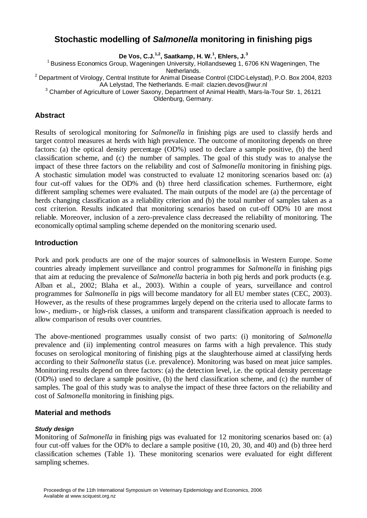# **Stochastic modelling of** *Salmonella* **monitoring in finishing pigs**

**De Vos, C.J.1,2, Saatkamp, H. W.<sup>1</sup> , Ehlers, J.<sup>3</sup>**

<sup>1</sup> Business Economics Group, Wageningen University, Hollandseweg 1, 6706 KN Wageningen, The Netherlands.

<sup>2</sup> Department of Virology, Central Institute for Animal Disease Control (CIDC-Lelystad), P.O. Box 2004, 8203 AA Lelystad, The Netherlands. E-mail: clazien.devos@wur.nl

 $3$  Chamber of Agriculture of Lower Saxony, Department of Animal Health, Mars-la-Tour Str. 1, 26121

Oldenburg, Germany.

# **Abstract**

Results of serological monitoring for *Salmonella* in finishing pigs are used to classify herds and target control measures at herds with high prevalence. The outcome of monitoring depends on three factors: (a) the optical density percentage (OD%) used to declare a sample positive, (b) the herd classification scheme, and (c) the number of samples. The goal of this study was to analyse the impact of these three factors on the reliability and cost of *Salmonella* monitoring in finishing pigs. A stochastic simulation model was constructed to evaluate 12 monitoring scenarios based on: (a) four cut-off values for the OD% and (b) three herd classification schemes. Furthermore, eight different sampling schemes were evaluated. The main outputs of the model are (a) the percentage of herds changing classification as a reliability criterion and (b) the total number of samples taken as a cost criterion. Results indicated that monitoring scenarios based on cut-off OD% 10 are most reliable. Moreover, inclusion of a zero-prevalence class decreased the reliability of monitoring. The economically optimal sampling scheme depended on the monitoring scenario used.

# **Introduction**

Pork and pork products are one of the major sources of salmonellosis in Western Europe. Some countries already implement surveillance and control programmes for *Salmonella* in finishing pigs that aim at reducing the prevalence of *Salmonella* bacteria in both pig herds and pork products (e.g. Alban et al., 2002; Blaha et al., 2003). Within a couple of years, surveillance and control programmes for *Salmonella* in pigs will become mandatory for all EU member states (CEC, 2003). However, as the results of these programmes largely depend on the criteria used to allocate farms to low-, medium-, or high-risk classes, a uniform and transparent classification approach is needed to allow comparison of results over countries.

The above-mentioned programmes usually consist of two parts: (i) monitoring of *Salmonella* prevalence and (ii) implementing control measures on farms with a high prevalence. This study focuses on serological monitoring of finishing pigs at the slaughterhouse aimed at classifying herds according to their *Salmonella* status (i.e. prevalence). Monitoring was based on meat juice samples. Monitoring results depend on three factors: (a) the detection level, i.e. the optical density percentage (OD%) used to declare a sample positive, (b) the herd classification scheme, and (c) the number of samples. The goal of this study was to analyse the impact of these three factors on the reliability and cost of *Salmonella* monitoring in finishing pigs.

# **Material and methods**

# *Study design*

Monitoring of *Salmonella* in finishing pigs was evaluated for 12 monitoring scenarios based on: (a) four cut-off values for the OD% to declare a sample positive (10, 20, 30, and 40) and (b) three herd classification schemes (Table 1). These monitoring scenarios were evaluated for eight different sampling schemes.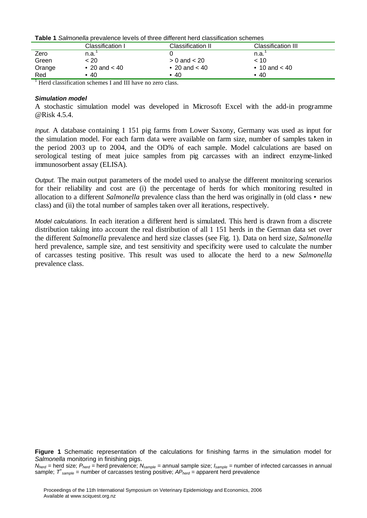| <b>Table 1</b> Salmonella prevalence levels of three different herd classification schemes |
|--------------------------------------------------------------------------------------------|
|--------------------------------------------------------------------------------------------|

|        | Classification I | Classification II | Classification III |  |
|--------|------------------|-------------------|--------------------|--|
| Zero   | n.a.             |                   | n.a.               |  |
| Green  | < 20             | $> 0$ and $< 20$  | $~<$ 10            |  |
| Orange | • 20 and $< 40$  | • 20 and $< 40$   | • 10 and $< 40$    |  |
| Red    | •40              | $\cdot$ 40        | • 40               |  |

<sup>1</sup> Herd classification schemes I and III have no zero class.

#### *Simulation model*

A stochastic simulation model was developed in Microsoft Excel with the add-in programme @Risk 4.5.4.

*Input.* A database containing 1 151 pig farms from Lower Saxony, Germany was used as input for the simulation model. For each farm data were available on farm size, number of samples taken in the period 2003 up to 2004, and the OD% of each sample. Model calculations are based on serological testing of meat juice samples from pig carcasses with an indirect enzyme-linked immunosorbent assay (ELISA).

*Output.* The main output parameters of the model used to analyse the different monitoring scenarios for their reliability and cost are (i) the percentage of herds for which monitoring resulted in allocation to a different *Salmonella* prevalence class than the herd was originally in (old class • new class) and (ii) the total number of samples taken over all iterations, respectively.

*Model calculations.* In each iteration a different herd is simulated. This herd is drawn from a discrete distribution taking into account the real distribution of all 1 151 herds in the German data set over the different *Salmonella* prevalence and herd size classes (see Fig. 1). Data on herd size, *Salmonella* herd prevalence, sample size, and test sensitivity and specificity were used to calculate the number of carcasses testing positive. This result was used to allocate the herd to a new *Salmonella* prevalence class.

**Figure 1** Schematic representation of the calculations for finishing farms in the simulation model for *Salmonella* monitoring in finishing pigs.

*Nherd* = herd size; *Pherd* = herd prevalence; *Nsample* = annual sample size; *Isample* = number of infected carcasses in annual sample;  $T^*_{sample}$  = number of carcasses testing positive;  $AP_{herd}$  = apparent herd prevalence